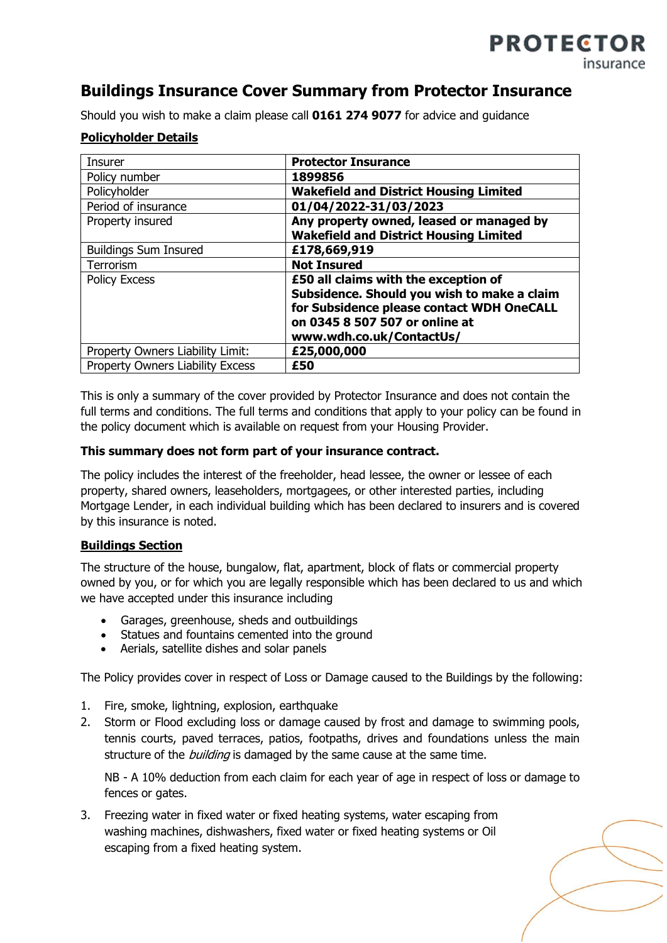# **Buildings Insurance Cover Summary from Protector Insurance**

Should you wish to make a claim please call **0161 274 9077** for advice and guidance

#### **Policyholder Details**

| <b>Insurer</b>                          | <b>Protector Insurance</b>                    |
|-----------------------------------------|-----------------------------------------------|
| Policy number                           | 1899856                                       |
| Policyholder                            | <b>Wakefield and District Housing Limited</b> |
| Period of insurance                     | 01/04/2022-31/03/2023                         |
| Property insured                        | Any property owned, leased or managed by      |
|                                         | <b>Wakefield and District Housing Limited</b> |
| <b>Buildings Sum Insured</b>            | £178,669,919                                  |
| Terrorism                               | <b>Not Insured</b>                            |
| <b>Policy Excess</b>                    | £50 all claims with the exception of          |
|                                         | Subsidence. Should you wish to make a claim   |
|                                         | for Subsidence please contact WDH OneCALL     |
|                                         | on 0345 8 507 507 or online at                |
|                                         | www.wdh.co.uk/ContactUs/                      |
| Property Owners Liability Limit:        | £25,000,000                                   |
| <b>Property Owners Liability Excess</b> | £50                                           |

This is only a summary of the cover provided by Protector Insurance and does not contain the full terms and conditions. The full terms and conditions that apply to your policy can be found in the policy document which is available on request from your Housing Provider.

#### **This summary does not form part of your insurance contract.**

The policy includes the interest of the freeholder, head lessee, the owner or lessee of each property, shared owners, leaseholders, mortgagees, or other interested parties, including Mortgage Lender, in each individual building which has been declared to insurers and is covered by this insurance is noted.

#### **Buildings Section**

The structure of the house, bungalow, flat, apartment, block of flats or commercial property owned by you, or for which you are legally responsible which has been declared to us and which we have accepted under this insurance including

- Garages, greenhouse, sheds and outbuildings
- Statues and fountains cemented into the ground
- Aerials, satellite dishes and solar panels

The Policy provides cover in respect of Loss or Damage caused to the Buildings by the following:

- 1. Fire, smoke, lightning, explosion, earthquake
- 2. Storm or Flood excluding loss or damage caused by frost and damage to swimming pools, tennis courts, paved terraces, patios, footpaths, drives and foundations unless the main structure of the *building* is damaged by the same cause at the same time.

NB - A 10% deduction from each claim for each year of age in respect of loss or damage to fences or gates.

3. Freezing water in fixed water or fixed heating systems, water escaping from washing machines, dishwashers, fixed water or fixed heating systems or Oil escaping from a fixed heating system.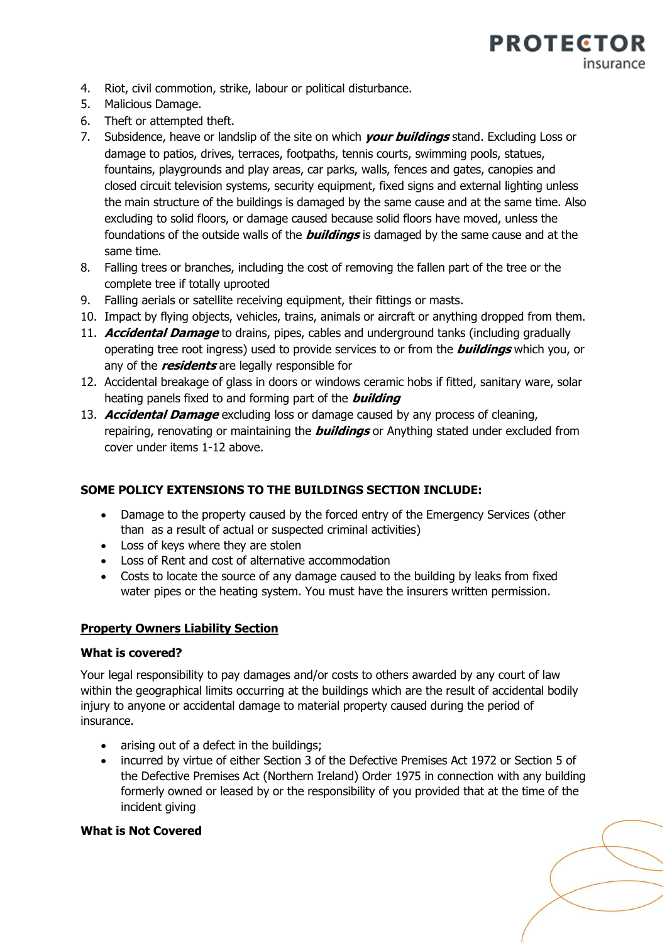

- 4. Riot, civil commotion, strike, labour or political disturbance.
- 5. Malicious Damage.
- 6. Theft or attempted theft.
- 7. Subsidence, heave or landslip of the site on which **your buildings** stand. Excluding Loss or damage to patios, drives, terraces, footpaths, tennis courts, swimming pools, statues, fountains, playgrounds and play areas, car parks, walls, fences and gates, canopies and closed circuit television systems, security equipment, fixed signs and external lighting unless the main structure of the buildings is damaged by the same cause and at the same time. Also excluding to solid floors, or damage caused because solid floors have moved, unless the foundations of the outside walls of the **buildings** is damaged by the same cause and at the same time.
- 8. Falling trees or branches, including the cost of removing the fallen part of the tree or the complete tree if totally uprooted
- 9. Falling aerials or satellite receiving equipment, their fittings or masts.
- 10. Impact by flying objects, vehicles, trains, animals or aircraft or anything dropped from them.
- 11. **Accidental Damage** to drains, pipes, cables and underground tanks (including gradually operating tree root ingress) used to provide services to or from the **buildings** which you, or any of the **residents** are legally responsible for
- 12. Accidental breakage of glass in doors or windows ceramic hobs if fitted, sanitary ware, solar heating panels fixed to and forming part of the **building**
- 13. **Accidental Damage** excluding loss or damage caused by any process of cleaning, repairing, renovating or maintaining the **buildings** or Anything stated under excluded from cover under items 1-12 above.

## **SOME POLICY EXTENSIONS TO THE BUILDINGS SECTION INCLUDE:**

- Damage to the property caused by the forced entry of the Emergency Services (other than as a result of actual or suspected criminal activities)
- Loss of keys where they are stolen
- Loss of Rent and cost of alternative accommodation
- Costs to locate the source of any damage caused to the building by leaks from fixed water pipes or the heating system. You must have the insurers written permission.

#### **Property Owners Liability Section**

#### **What is covered?**

Your legal responsibility to pay damages and/or costs to others awarded by any court of law within the geographical limits occurring at the buildings which are the result of accidental bodily injury to anyone or accidental damage to material property caused during the period of insurance.

- arising out of a defect in the buildings;
- incurred by virtue of either Section 3 of the Defective Premises Act 1972 or Section 5 of the Defective Premises Act (Northern Ireland) Order 1975 in connection with any building formerly owned or leased by or the responsibility of you provided that at the time of the incident giving

#### **What is Not Covered**